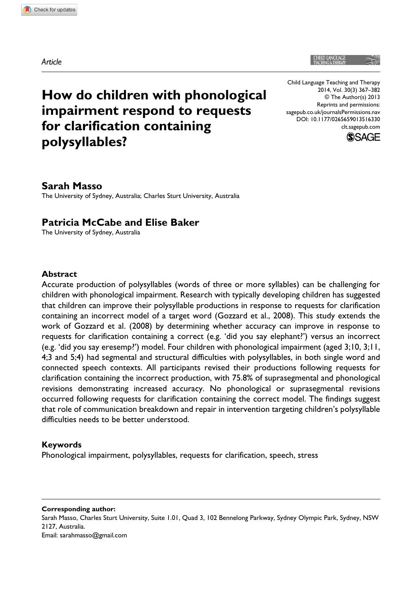*Article*

Child Language Teaching and Therapy 2014, Vol. 30(3) 367–382 © The Author(s) 2013 Reprints and permissions: sagepub.co.uk/journalsPermissions.nav DOI: 10.1177/0265659013516330 clt.sagepub.com



# **How do children with phonological impairment respond to requests for clarification containing polysyllables?**

## **Sarah Masso**

The University of Sydney, Australia; Charles Sturt University, Australia

### **Patricia McCabe and Elise Baker**

The University of Sydney, Australia

#### **Abstract**

Accurate production of polysyllables (words of three or more syllables) can be challenging for children with phonological impairment. Research with typically developing children has suggested that children can improve their polysyllable productions in response to requests for clarification containing an incorrect model of a target word (Gozzard et al., 2008). This study extends the work of Gozzard et al. (2008) by determining whether accuracy can improve in response to requests for clarification containing a correct (e.g. 'did you say elephant?') versus an incorrect (e.g. 'did you say eresemp?') model. Four children with phonological impairment (aged 3;10, 3;11, 4;3 and 5;4) had segmental and structural difficulties with polysyllables, in both single word and connected speech contexts. All participants revised their productions following requests for clarification containing the incorrect production, with 75.8% of suprasegmental and phonological revisions demonstrating increased accuracy. No phonological or suprasegmental revisions occurred following requests for clarification containing the correct model. The findings suggest that role of communication breakdown and repair in intervention targeting children's polysyllable difficulties needs to be better understood.

#### **Keywords**

Phonological impairment, polysyllables, requests for clarification, speech, stress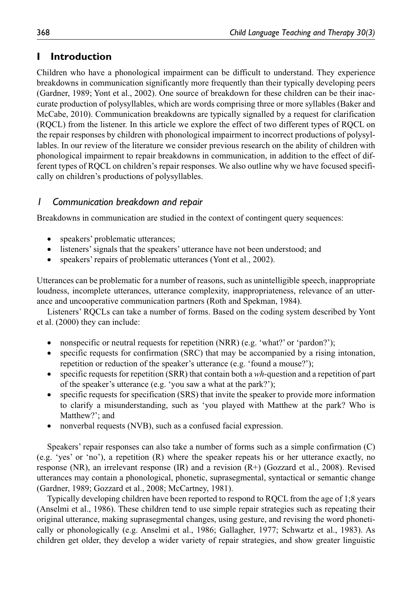## **I Introduction**

Children who have a phonological impairment can be difficult to understand. They experience breakdowns in communication significantly more frequently than their typically developing peers (Gardner, 1989; Yont et al., 2002). One source of breakdown for these children can be their inaccurate production of polysyllables, which are words comprising three or more syllables (Baker and McCabe, 2010). Communication breakdowns are typically signalled by a request for clarification (RQCL) from the listener. In this article we explore the effect of two different types of RQCL on the repair responses by children with phonological impairment to incorrect productions of polysyllables. In our review of the literature we consider previous research on the ability of children with phonological impairment to repair breakdowns in communication, in addition to the effect of different types of RQCL on children's repair responses. We also outline why we have focused specifically on children's productions of polysyllables.

## *1 Communication breakdown and repair*

Breakdowns in communication are studied in the context of contingent query sequences:

- speakers' problematic utterances;
- listeners' signals that the speakers' utterance have not been understood; and
- speakers' repairs of problematic utterances (Yont et al., 2002).

Utterances can be problematic for a number of reasons, such as unintelligible speech, inappropriate loudness, incomplete utterances, utterance complexity, inappropriateness, relevance of an utterance and uncooperative communication partners (Roth and Spekman, 1984).

Listeners' RQCLs can take a number of forms. Based on the coding system described by Yont et al. (2000) they can include:

- nonspecific or neutral requests for repetition (NRR) (e.g. 'what?' or 'pardon?');
- specific requests for confirmation (SRC) that may be accompanied by a rising intonation, repetition or reduction of the speaker's utterance (e.g. 'found a mouse?');
- specific requests for repetition (SRR) that contain both a *wh-*question and a repetition of part of the speaker's utterance (e.g. 'you saw a what at the park?');
- specific requests for specification (SRS) that invite the speaker to provide more information to clarify a misunderstanding, such as 'you played with Matthew at the park? Who is Matthew?'; and
- nonverbal requests (NVB), such as a confused facial expression.

Speakers' repair responses can also take a number of forms such as a simple confirmation (C) (e.g. 'yes' or 'no'), a repetition (R) where the speaker repeats his or her utterance exactly, no response (NR), an irrelevant response (IR) and a revision (R+) (Gozzard et al., 2008). Revised utterances may contain a phonological, phonetic, suprasegmental, syntactical or semantic change (Gardner, 1989; Gozzard et al., 2008; McCartney, 1981).

Typically developing children have been reported to respond to RQCL from the age of 1;8 years (Anselmi et al., 1986). These children tend to use simple repair strategies such as repeating their original utterance, making suprasegmental changes, using gesture, and revising the word phonetically or phonologically (e.g. Anselmi et al., 1986; Gallagher, 1977; Schwartz et al., 1983). As children get older, they develop a wider variety of repair strategies, and show greater linguistic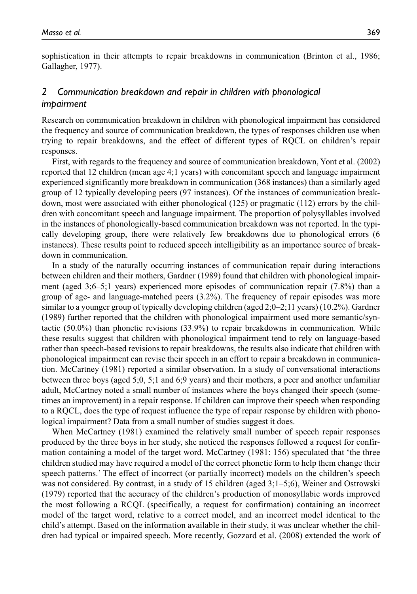sophistication in their attempts to repair breakdowns in communication (Brinton et al., 1986; Gallagher, 1977).

## *2 Communication breakdown and repair in children with phonological impairment*

Research on communication breakdown in children with phonological impairment has considered the frequency and source of communication breakdown, the types of responses children use when trying to repair breakdowns, and the effect of different types of RQCL on children's repair responses.

First, with regards to the frequency and source of communication breakdown, Yont et al. (2002) reported that 12 children (mean age 4;1 years) with concomitant speech and language impairment experienced significantly more breakdown in communication (368 instances) than a similarly aged group of 12 typically developing peers (97 instances). Of the instances of communication breakdown, most were associated with either phonological (125) or pragmatic (112) errors by the children with concomitant speech and language impairment. The proportion of polysyllables involved in the instances of phonologically-based communication breakdown was not reported. In the typically developing group, there were relatively few breakdowns due to phonological errors (6 instances). These results point to reduced speech intelligibility as an importance source of breakdown in communication.

In a study of the naturally occurring instances of communication repair during interactions between children and their mothers, Gardner (1989) found that children with phonological impairment (aged 3;6–5;1 years) experienced more episodes of communication repair (7.8%) than a group of age- and language-matched peers (3.2%). The frequency of repair episodes was more similar to a younger group of typically developing children (aged 2;0–2;11 years) (10.2%). Gardner (1989) further reported that the children with phonological impairment used more semantic/syntactic (50.0%) than phonetic revisions (33.9%) to repair breakdowns in communication. While these results suggest that children with phonological impairment tend to rely on language-based rather than speech-based revisions to repair breakdowns, the results also indicate that children with phonological impairment can revise their speech in an effort to repair a breakdown in communication. McCartney (1981) reported a similar observation. In a study of conversational interactions between three boys (aged 5;0, 5;1 and 6;9 years) and their mothers, a peer and another unfamiliar adult, McCartney noted a small number of instances where the boys changed their speech (sometimes an improvement) in a repair response. If children can improve their speech when responding to a RQCL, does the type of request influence the type of repair response by children with phonological impairment? Data from a small number of studies suggest it does.

When McCartney (1981) examined the relatively small number of speech repair responses produced by the three boys in her study, she noticed the responses followed a request for confirmation containing a model of the target word. McCartney (1981: 156) speculated that 'the three children studied may have required a model of the correct phonetic form to help them change their speech patterns.' The effect of incorrect (or partially incorrect) models on the children's speech was not considered. By contrast, in a study of 15 children (aged 3;1–5;6), Weiner and Ostrowski (1979) reported that the accuracy of the children's production of monosyllabic words improved the most following a RCQL (specifically, a request for confirmation) containing an incorrect model of the target word, relative to a correct model, and an incorrect model identical to the child's attempt. Based on the information available in their study, it was unclear whether the children had typical or impaired speech. More recently, Gozzard et al. (2008) extended the work of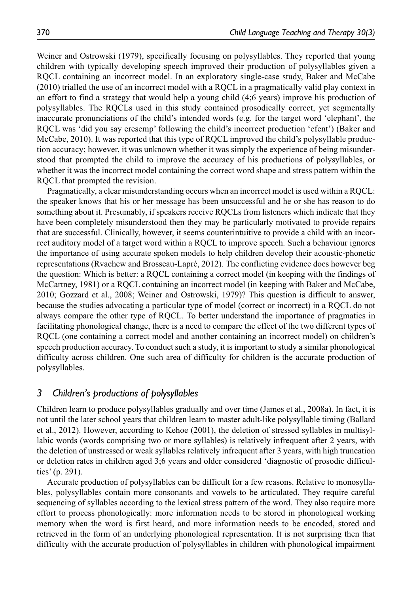Weiner and Ostrowski (1979), specifically focusing on polysyllables. They reported that young children with typically developing speech improved their production of polysyllables given a RQCL containing an incorrect model. In an exploratory single-case study, Baker and McCabe (2010) trialled the use of an incorrect model with a RQCL in a pragmatically valid play context in an effort to find a strategy that would help a young child (4;6 years) improve his production of polysyllables. The RQCLs used in this study contained prosodically correct, yet segmentally inaccurate pronunciations of the child's intended words (e.g. for the target word 'elephant', the RQCL was 'did you say eresemp' following the child's incorrect production 'efent') (Baker and McCabe, 2010). It was reported that this type of RQCL improved the child's polysyllable production accuracy; however, it was unknown whether it was simply the experience of being misunderstood that prompted the child to improve the accuracy of his productions of polysyllables, or whether it was the incorrect model containing the correct word shape and stress pattern within the RQCL that prompted the revision.

Pragmatically, a clear misunderstanding occurs when an incorrect model is used within a RQCL: the speaker knows that his or her message has been unsuccessful and he or she has reason to do something about it. Presumably, if speakers receive RQCLs from listeners which indicate that they have been completely misunderstood then they may be particularly motivated to provide repairs that are successful. Clinically, however, it seems counterintuitive to provide a child with an incorrect auditory model of a target word within a RQCL to improve speech. Such a behaviour ignores the importance of using accurate spoken models to help children develop their acoustic-phonetic representations (Rvachew and Brosseau-Lapré, 2012). The conflicting evidence does however beg the question: Which is better: a RQCL containing a correct model (in keeping with the findings of McCartney, 1981) or a RQCL containing an incorrect model (in keeping with Baker and McCabe, 2010; Gozzard et al., 2008; Weiner and Ostrowski, 1979)? This question is difficult to answer, because the studies advocating a particular type of model (correct or incorrect) in a RQCL do not always compare the other type of RQCL. To better understand the importance of pragmatics in facilitating phonological change, there is a need to compare the effect of the two different types of RQCL (one containing a correct model and another containing an incorrect model) on children's speech production accuracy. To conduct such a study, it is important to study a similar phonological difficulty across children. One such area of difficulty for children is the accurate production of polysyllables.

#### *3 Children's productions of polysyllables*

Children learn to produce polysyllables gradually and over time (James et al., 2008a). In fact, it is not until the later school years that children learn to master adult-like polysyllable timing (Ballard et al., 2012). However, according to Kehoe (2001), the deletion of stressed syllables in multisyllabic words (words comprising two or more syllables) is relatively infrequent after 2 years, with the deletion of unstressed or weak syllables relatively infrequent after 3 years, with high truncation or deletion rates in children aged 3;6 years and older considered 'diagnostic of prosodic difficulties' (p. 291).

Accurate production of polysyllables can be difficult for a few reasons. Relative to monosyllables, polysyllables contain more consonants and vowels to be articulated. They require careful sequencing of syllables according to the lexical stress pattern of the word. They also require more effort to process phonologically: more information needs to be stored in phonological working memory when the word is first heard, and more information needs to be encoded, stored and retrieved in the form of an underlying phonological representation. It is not surprising then that difficulty with the accurate production of polysyllables in children with phonological impairment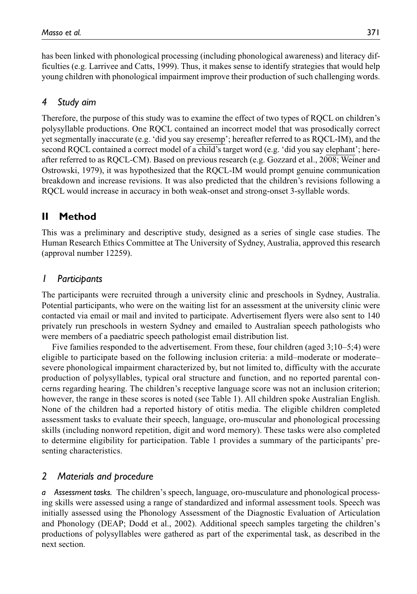has been linked with phonological processing (including phonological awareness) and literacy difficulties (e.g. Larrivee and Catts, 1999). Thus, it makes sense to identify strategies that would help young children with phonological impairment improve their production of such challenging words.

## *4 Study aim*

Therefore, the purpose of this study was to examine the effect of two types of RQCL on children's polysyllable productions. One RQCL contained an incorrect model that was prosodically correct yet segmentally inaccurate (e.g. 'did you say eresemp'; hereafter referred to as RQCL-IM), and the second RQCL contained a correct model of a child's target word (e.g. 'did you say elephant'; hereafter referred to as RQCL-CM). Based on previous research (e.g. Gozzard et al., 2008; Weiner and Ostrowski, 1979), it was hypothesized that the RQCL-IM would prompt genuine communication breakdown and increase revisions. It was also predicted that the children's revisions following a RQCL would increase in accuracy in both weak-onset and strong-onset 3-syllable words.

## **II Method**

This was a preliminary and descriptive study, designed as a series of single case studies. The Human Research Ethics Committee at The University of Sydney, Australia, approved this research (approval number 12259).

## *1 Participants*

The participants were recruited through a university clinic and preschools in Sydney, Australia. Potential participants, who were on the waiting list for an assessment at the university clinic were contacted via email or mail and invited to participate. Advertisement flyers were also sent to 140 privately run preschools in western Sydney and emailed to Australian speech pathologists who were members of a paediatric speech pathologist email distribution list.

Five families responded to the advertisement. From these, four children (aged 3;10–5;4) were eligible to participate based on the following inclusion criteria: a mild–moderate or moderate– severe phonological impairment characterized by, but not limited to, difficulty with the accurate production of polysyllables, typical oral structure and function, and no reported parental concerns regarding hearing. The children's receptive language score was not an inclusion criterion; however, the range in these scores is noted (see Table 1). All children spoke Australian English. None of the children had a reported history of otitis media. The eligible children completed assessment tasks to evaluate their speech, language, oro-muscular and phonological processing skills (including nonword repetition, digit and word memory). These tasks were also completed to determine eligibility for participation. Table 1 provides a summary of the participants' presenting characteristics.

### *2 Materials and procedure*

*a Assessment tasks.* The children's speech, language, oro-musculature and phonological processing skills were assessed using a range of standardized and informal assessment tools. Speech was initially assessed using the Phonology Assessment of the Diagnostic Evaluation of Articulation and Phonology (DEAP; Dodd et al., 2002). Additional speech samples targeting the children's productions of polysyllables were gathered as part of the experimental task, as described in the next section.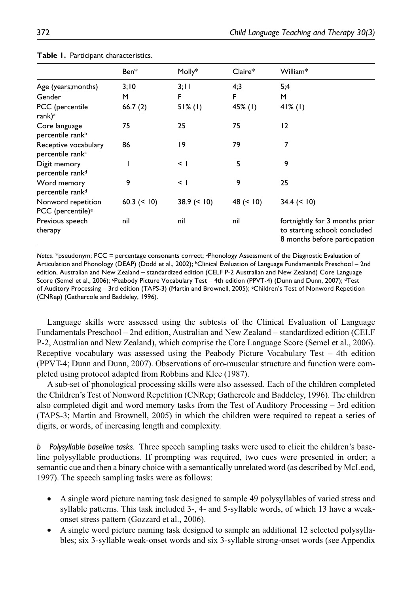|                                                      | Ben*           | Molly*        | $Claire*$  | William*                                                                                         |
|------------------------------------------------------|----------------|---------------|------------|--------------------------------------------------------------------------------------------------|
| Age (years;months)                                   | 3;10           | 3;11          | 4;3        | 5;4                                                                                              |
| Gender                                               | м              | F             | F          | M                                                                                                |
| PCC (percentile<br>rank) <sup>a</sup>                | 66.7(2)        | $51\%$ (1)    | $45\%$ (1) | $41\%$ (1)                                                                                       |
| Core language<br>percentile rank <sup>b</sup>        | 75             | 25            | 75         | 12                                                                                               |
| Receptive vocabulary<br>percentile rank <sup>c</sup> | 86             | 19            | 79         | 7                                                                                                |
| Digit memory<br>percentile rank <sup>d</sup>         |                | $\leq$ 1      | 5          | 9                                                                                                |
| Word memory<br>percentile rank <sup>d</sup>          | 9              | $\leq$        | 9          | 25                                                                                               |
| Nonword repetition<br>PCC (percentile) <sup>e</sup>  | 60.3 $(< 10$ ) | $38.9 \le 10$ | 48 (< 10)  | $34.4 \le 10$                                                                                    |
| Previous speech<br>therapy                           | nil            | nil           | nil        | fortnightly for 3 months prior<br>to starting school; concluded<br>8 months before participation |

|  |  |  | Table 1. Participant characteristics. |
|--|--|--|---------------------------------------|
|--|--|--|---------------------------------------|

*Notes*. \*pseudonym; PCC = percentage consonants correct; a Phonology Assessment of the Diagnostic Evaluation of Articulation and Phonology (DEAP) (Dodd et al., 2002); <sup>b</sup>Clinical Evaluation of Language Fundamentals Preschool – 2nd edition, Australian and New Zealand – standardized edition (CELF P-2 Australian and New Zealand) Core Language Score (Semel et al., 2006); <sup>c</sup>Peabody Picture Vocabulary Test – 4th edition (PPVT-4) (Dunn and Dunn, 2007); <sup>d</sup>Test of Auditory Processing – 3rd edition (TAPS-3) (Martin and Brownell, 2005); eChildren's Test of Nonword Repetition (CNRep) (Gathercole and Baddeley, 1996).

Language skills were assessed using the subtests of the Clinical Evaluation of Language Fundamentals Preschool – 2nd edition, Australian and New Zealand – standardized edition (CELF P-2, Australian and New Zealand), which comprise the Core Language Score (Semel et al., 2006). Receptive vocabulary was assessed using the Peabody Picture Vocabulary Test – 4th edition (PPVT-4; Dunn and Dunn, 2007). Observations of oro-muscular structure and function were completed using protocol adapted from Robbins and Klee (1987).

A sub-set of phonological processing skills were also assessed. Each of the children completed the Children's Test of Nonword Repetition (CNRep; Gathercole and Baddeley, 1996). The children also completed digit and word memory tasks from the Test of Auditory Processing – 3rd edition (TAPS-3; Martin and Brownell, 2005) in which the children were required to repeat a series of digits, or words, of increasing length and complexity.

*b Polysyllable baseline tasks.* Three speech sampling tasks were used to elicit the children's baseline polysyllable productions. If prompting was required, two cues were presented in order; a semantic cue and then a binary choice with a semantically unrelated word (as described by McLeod, 1997). The speech sampling tasks were as follows:

- A single word picture naming task designed to sample 49 polysyllables of varied stress and syllable patterns. This task included 3-, 4- and 5-syllable words, of which 13 have a weakonset stress pattern (Gozzard et al., 2006).
- A single word picture naming task designed to sample an additional 12 selected polysyllables; six 3-syllable weak-onset words and six 3-syllable strong-onset words (see Appendix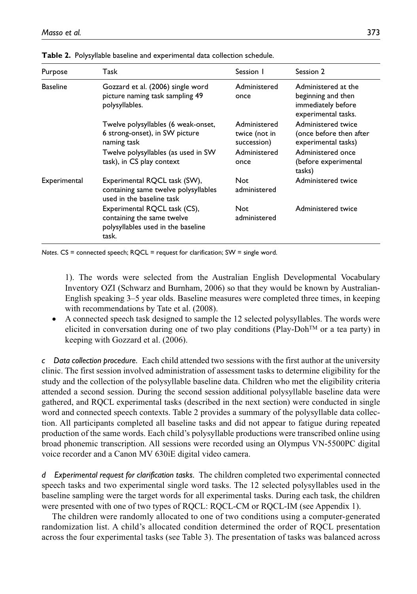| Purpose         | Task                                                                                                                                                     | Session 1                                                            | Session 2                                                                                                                   |
|-----------------|----------------------------------------------------------------------------------------------------------------------------------------------------------|----------------------------------------------------------------------|-----------------------------------------------------------------------------------------------------------------------------|
| <b>Baseline</b> | Gozzard et al. (2006) single word<br>picture naming task sampling 49<br>polysyllables.                                                                   | Administered<br>once                                                 | Administered at the<br>beginning and then<br>immediately before<br>experimental tasks.                                      |
|                 | Twelve polysyllables (6 weak-onset,<br>6 strong-onset), in SW picture<br>naming task<br>Twelve polysyllables (as used in SW<br>task), in CS play context | Administered<br>twice (not in<br>succession)<br>Administered<br>once | Administered twice<br>(once before then after<br>experimental tasks)<br>Administered once<br>(before experimental<br>tasks) |
| Experimental    | Experimental RQCL task (SW),<br>containing same twelve polysyllables<br>used in the baseline task                                                        | <b>Not</b><br>administered                                           | Administered twice                                                                                                          |
|                 | Experimental RQCL task (CS),<br>containing the same twelve<br>polysyllables used in the baseline<br>task.                                                | Not<br>administered                                                  | Administered twice                                                                                                          |

**Table 2.** Polysyllable baseline and experimental data collection schedule.

*Notes*. CS = connected speech; RQCL = request for clarification; SW = single word.

1). The words were selected from the Australian English Developmental Vocabulary Inventory OZI (Schwarz and Burnham, 2006) so that they would be known by Australian-English speaking 3–5 year olds. Baseline measures were completed three times, in keeping with recommendations by Tate et al. (2008).

• A connected speech task designed to sample the 12 selected polysyllables. The words were elicited in conversation during one of two play conditions (Play-Doh<sup>TM</sup> or a tea party) in keeping with Gozzard et al. (2006).

*c Data collection procedure.* Each child attended two sessions with the first author at the university clinic. The first session involved administration of assessment tasks to determine eligibility for the study and the collection of the polysyllable baseline data. Children who met the eligibility criteria attended a second session. During the second session additional polysyllable baseline data were gathered, and RQCL experimental tasks (described in the next section) were conducted in single word and connected speech contexts. Table 2 provides a summary of the polysyllable data collection. All participants completed all baseline tasks and did not appear to fatigue during repeated production of the same words. Each child's polysyllable productions were transcribed online using broad phonemic transcription. All sessions were recorded using an Olympus VN-5500PC digital voice recorder and a Canon MV 630iE digital video camera.

*d Experimental request for clarification tasks.* The children completed two experimental connected speech tasks and two experimental single word tasks. The 12 selected polysyllables used in the baseline sampling were the target words for all experimental tasks. During each task, the children were presented with one of two types of RQCL: RQCL-CM or RQCL-IM (see Appendix 1).

The children were randomly allocated to one of two conditions using a computer-generated randomization list. A child's allocated condition determined the order of RQCL presentation across the four experimental tasks (see Table 3). The presentation of tasks was balanced across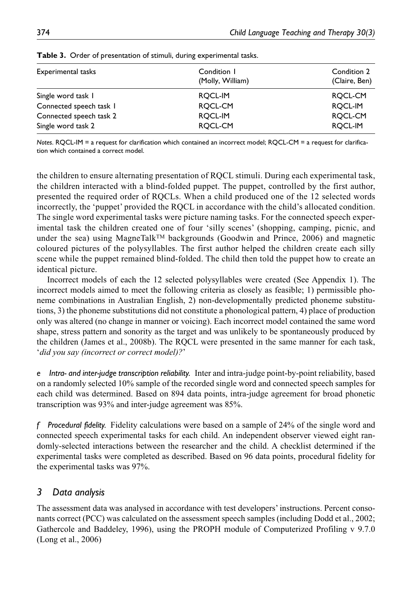| Experimental tasks      | Condition 1      | Condition 2   |  |  |
|-------------------------|------------------|---------------|--|--|
|                         | (Molly, William) | (Claire, Ben) |  |  |
| Single word task 1      | ROCL-IM          | ROCL-CM       |  |  |
| Connected speech task I | ROCL-CM          | ROCL-IM       |  |  |
| Connected speech task 2 | ROCL-IM          | ROCL-CM       |  |  |
| Single word task 2      | ROCL-CM          | ROCL-IM       |  |  |

**Table 3.** Order of presentation of stimuli, during experimental tasks.

*Notes*. RQCL-IM = a request for clarification which contained an incorrect model; RQCL-CM = a request for clarification which contained a correct model.

the children to ensure alternating presentation of RQCL stimuli. During each experimental task, the children interacted with a blind-folded puppet. The puppet, controlled by the first author, presented the required order of RQCLs. When a child produced one of the 12 selected words incorrectly, the 'puppet' provided the RQCL in accordance with the child's allocated condition. The single word experimental tasks were picture naming tasks. For the connected speech experimental task the children created one of four 'silly scenes' (shopping, camping, picnic, and under the sea) using MagneTalk<sup>TM</sup> backgrounds (Goodwin and Prince, 2006) and magnetic coloured pictures of the polysyllables. The first author helped the children create each silly scene while the puppet remained blind-folded. The child then told the puppet how to create an identical picture.

Incorrect models of each the 12 selected polysyllables were created (See Appendix 1). The incorrect models aimed to meet the following criteria as closely as feasible; 1) permissible phoneme combinations in Australian English, 2) non-developmentally predicted phoneme substitutions, 3) the phoneme substitutions did not constitute a phonological pattern, 4) place of production only was altered (no change in manner or voicing). Each incorrect model contained the same word shape, stress pattern and sonority as the target and was unlikely to be spontaneously produced by the children (James et al., 2008b). The RQCL were presented in the same manner for each task, '*did you say (incorrect or correct model)?*'

*e Intra- and inter-judge transcription reliability.* Inter and intra-judge point-by-point reliability, based on a randomly selected 10% sample of the recorded single word and connected speech samples for each child was determined. Based on 894 data points, intra-judge agreement for broad phonetic transcription was 93% and inter-judge agreement was 85%.

*f Procedural fidelity.* Fidelity calculations were based on a sample of 24% of the single word and connected speech experimental tasks for each child. An independent observer viewed eight randomly-selected interactions between the researcher and the child. A checklist determined if the experimental tasks were completed as described. Based on 96 data points, procedural fidelity for the experimental tasks was 97%.

### *3 Data analysis*

The assessment data was analysed in accordance with test developers' instructions. Percent consonants correct (PCC) was calculated on the assessment speech samples (including Dodd et al., 2002; Gathercole and Baddeley, 1996), using the PROPH module of Computerized Profiling v 9.7.0 (Long et al., 2006)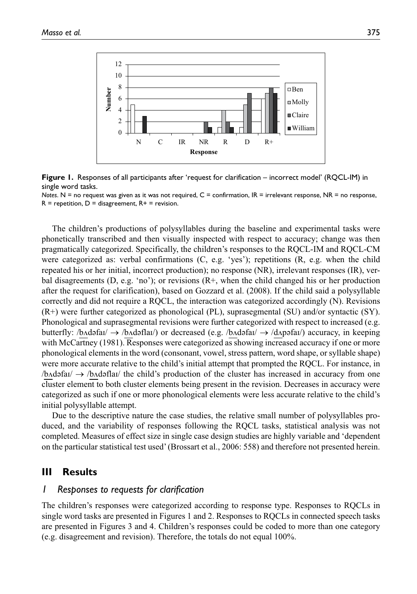

**Figure 1.** Responses of all participants after 'request for clarification – incorrect model' (RQCL-IM) in single word tasks.

*Notes*. N = no request was given as it was not required, C = confirmation, IR = irrelevant response, NR = no response,  $R =$  repetition,  $D =$  disagreement,  $R +$  = revision.

The children's productions of polysyllables during the baseline and experimental tasks were phonetically transcribed and then visually inspected with respect to accuracy; change was then pragmatically categorized. Specifically, the children's responses to the RQCL-IM and RQCL-CM were categorized as: verbal confirmations (C, e.g. 'yes'); repetitions (R, e.g. when the child repeated his or her initial, incorrect production); no response (NR), irrelevant responses (IR), verbal disagreements (D, e.g. 'no'); or revisions  $(R<sup>+</sup>)$ , when the child changed his or her production after the request for clarification), based on Gozzard et al. (2008). If the child said a polysyllable correctly and did not require a RQCL, the interaction was categorized accordingly (N). Revisions (R+) were further categorized as phonological (PL), suprasegmental (SU) and/or syntactic (SY). Phonological and suprasegmental revisions were further categorized with respect to increased (e.g. butterfly: /b $\Delta$ dəfaɪ/  $\rightarrow$  /b $\Delta$ dəflaɪ/) or decreased (e.g. /b $\Delta$ dəfaɪ/  $\rightarrow$  /d $\Delta$ pəfaɪ/) accuracy, in keeping with McCartney (1981). Responses were categorized as showing increased accuracy if one or more phonological elements in the word (consonant, vowel, stress pattern, word shape, or syllable shape) were more accurate relative to the child's initial attempt that prompted the RQCL. For instance, in  $/b$ Adəfa $\rightarrow$  /b $\land$ dəfla $\land$  the child's production of the cluster has increased in accuracy from one cluster element to both cluster elements being present in the revision. Decreases in accuracy were categorized as such if one or more phonological elements were less accurate relative to the child's initial polysyllable attempt.

Due to the descriptive nature the case studies, the relative small number of polysyllables produced, and the variability of responses following the RQCL tasks, statistical analysis was not completed. Measures of effect size in single case design studies are highly variable and 'dependent on the particular statistical test used' (Brossart et al., 2006: 558) and therefore not presented herein.

#### **III Results**

### *1 Responses to requests for clarification*

The children's responses were categorized according to response type. Responses to RQCLs in single word tasks are presented in Figures 1 and 2. Responses to RQCLs in connected speech tasks are presented in Figures 3 and 4. Children's responses could be coded to more than one category (e.g. disagreement and revision). Therefore, the totals do not equal 100%.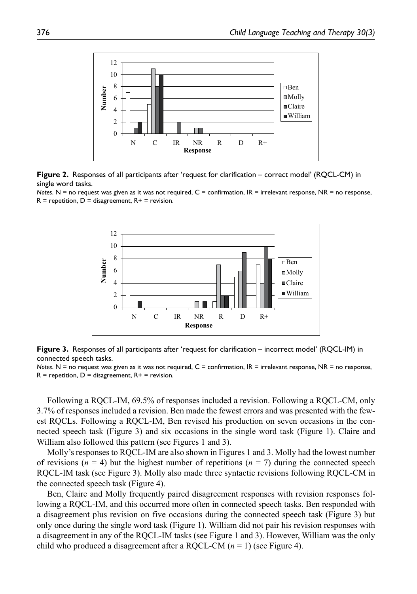

**Figure 2.** Responses of all participants after 'request for clarification – correct model' (RQCL-CM) in single word tasks.

*Notes*. N = no request was given as it was not required, C = confirmation, IR = irrelevant response, NR = no response,  $R =$  repetition,  $D =$  disagreement,  $R +$  = revision.



**Figure 3.** Responses of all participants after 'request for clarification – incorrect model' (RQCL-IM) in connected speech tasks.

*Notes*. N = no request was given as it was not required, C = confirmation, IR = irrelevant response, NR = no response,  $R =$  repetition,  $D =$  disagreement,  $R +$  = revision.

Following a RQCL-IM, 69.5% of responses included a revision. Following a RQCL-CM, only 3.7% of responses included a revision. Ben made the fewest errors and was presented with the fewest RQCLs. Following a RQCL-IM, Ben revised his production on seven occasions in the connected speech task (Figure 3) and six occasions in the single word task (Figure 1). Claire and William also followed this pattern (see Figures 1 and 3).

Molly's responses to RQCL-IM are also shown in Figures 1 and 3. Molly had the lowest number of revisions ( $n = 4$ ) but the highest number of repetitions ( $n = 7$ ) during the connected speech RQCL-IM task (see Figure 3). Molly also made three syntactic revisions following RQCL-CM in the connected speech task (Figure 4).

Ben, Claire and Molly frequently paired disagreement responses with revision responses following a RQCL-IM, and this occurred more often in connected speech tasks. Ben responded with a disagreement plus revision on five occasions during the connected speech task (Figure 3) but only once during the single word task (Figure 1). William did not pair his revision responses with a disagreement in any of the RQCL-IM tasks (see Figure 1 and 3). However, William was the only child who produced a disagreement after a RQCL-CM (*n* = 1) (see Figure 4).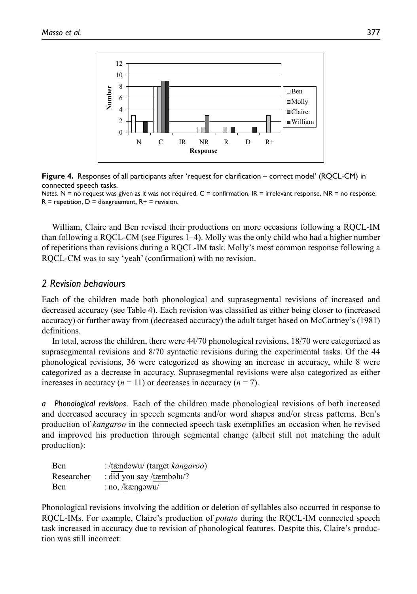

**Figure 4.** Responses of all participants after 'request for clarification – correct model' (RQCL-CM) in connected speech tasks.

*Notes*. N = no request was given as it was not required, C = confirmation, IR = irrelevant response, NR = no response,  $R =$  repetition,  $D =$  disagreement,  $R +$  = revision.

William, Claire and Ben revised their productions on more occasions following a RQCL-IM than following a RQCL-CM (see Figures 1–4). Molly was the only child who had a higher number of repetitions than revisions during a RQCL-IM task. Molly's most common response following a RQCL-CM was to say 'yeah' (confirmation) with no revision.

#### *2 Revision behaviours*

Each of the children made both phonological and suprasegmental revisions of increased and decreased accuracy (see Table 4). Each revision was classified as either being closer to (increased accuracy) or further away from (decreased accuracy) the adult target based on McCartney's (1981) definitions.

In total, across the children, there were 44/70 phonological revisions, 18/70 were categorized as suprasegmental revisions and 8/70 syntactic revisions during the experimental tasks. Of the 44 phonological revisions, 36 were categorized as showing an increase in accuracy, while 8 were categorized as a decrease in accuracy. Suprasegmental revisions were also categorized as either increases in accuracy  $(n = 11)$  or decreases in accuracy  $(n = 7)$ .

*a Phonological revisions.* Each of the children made phonological revisions of both increased and decreased accuracy in speech segments and/or word shapes and/or stress patterns. Ben's production of *kangaroo* in the connected speech task exemplifies an occasion when he revised and improved his production through segmental change (albeit still not matching the adult production):

| Ben        | : /tændəwu/ (target kangaroo) |
|------------|-------------------------------|
| Researcher | : did you say /tæmbəlu/?      |
| Ben        | $: no, /k$ æng $\omega$       |

Phonological revisions involving the addition or deletion of syllables also occurred in response to RQCL-IMs. For example, Claire's production of *potato* during the RQCL-IM connected speech task increased in accuracy due to revision of phonological features. Despite this, Claire's production was still incorrect: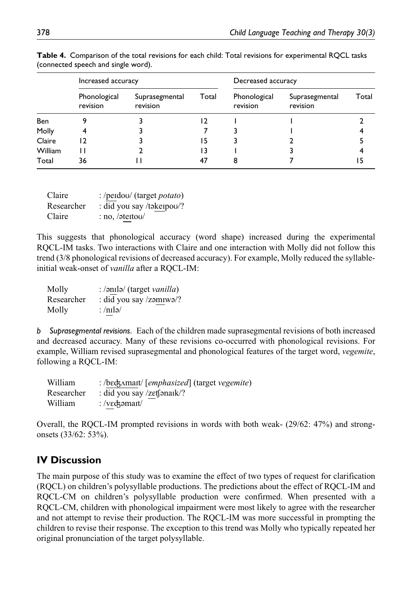|            | Increased accuracy       |                            |       | Decreased accuracy       |                            |       |
|------------|--------------------------|----------------------------|-------|--------------------------|----------------------------|-------|
|            | Phonological<br>revision | Suprasegmental<br>revision | Total | Phonological<br>revision | Suprasegmental<br>revision | Total |
| <b>Ben</b> |                          |                            |       |                          |                            |       |
| Molly      |                          |                            |       |                          |                            |       |
| Claire     | 12                       |                            | 5     |                          |                            |       |
| William    | н                        |                            | 3     |                          |                            |       |
| Total      | 36                       |                            |       |                          |                            |       |

**Table 4.** Comparison of the total revisions for each child: Total revisions for experimental RQCL tasks (connected speech and single word).

| Claire     | : /perdou/ (target <i>potato</i> ) |
|------------|------------------------------------|
| Researcher | : did you say /təkeipou/?          |
| Claire     | $: no, / \text{det}$               |

This suggests that phonological accuracy (word shape) increased during the experimental RQCL-IM tasks. Two interactions with Claire and one interaction with Molly did not follow this trend (3/8 phonological revisions of decreased accuracy). For example, Molly reduced the syllableinitial weak-onset of *vanilla* after a RQCL-IM:

| Molly      | : /ənilə/ (target vanilla) |
|------------|----------------------------|
| Researcher | : did you say /zəmiwə/?    |
| Molly      | : /nɪlə/                   |

*b Suprasegmental revisions.* Each of the children made suprasegmental revisions of both increased and decreased accuracy. Many of these revisions co-occurred with phonological revisions. For example, William revised suprasegmental and phonological features of the target word, *vegemite*, following a RQCL-IM:

| William    | : /bɛʤʌmaɪt/ [emphasized] (target vegemite)         |
|------------|-----------------------------------------------------|
| Researcher | : did you say $\ell$ zetf $\mathsf{snark}\rangle$ ? |
| William    | : /vɛʤəmaɪt/                                        |

Overall, the RQCL-IM prompted revisions in words with both weak- (29/62: 47%) and strongonsets (33/62: 53%).

## **IV Discussion**

The main purpose of this study was to examine the effect of two types of request for clarification (RQCL) on children's polysyllable productions. The predictions about the effect of RQCL-IM and RQCL-CM on children's polysyllable production were confirmed. When presented with a RQCL-CM, children with phonological impairment were most likely to agree with the researcher and not attempt to revise their production. The RQCL-IM was more successful in prompting the children to revise their response. The exception to this trend was Molly who typically repeated her original pronunciation of the target polysyllable.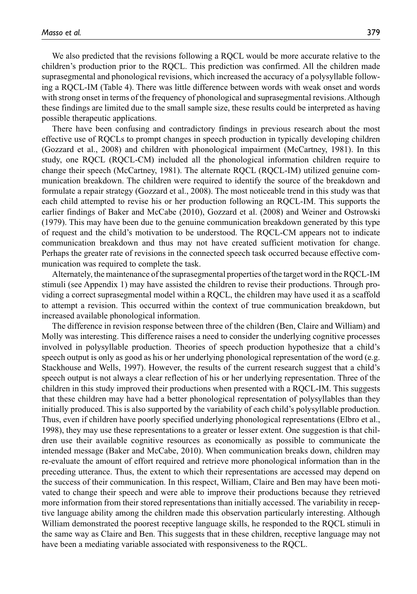We also predicted that the revisions following a RQCL would be more accurate relative to the children's production prior to the RQCL. This prediction was confirmed. All the children made suprasegmental and phonological revisions, which increased the accuracy of a polysyllable following a RQCL-IM (Table 4). There was little difference between words with weak onset and words with strong onset in terms of the frequency of phonological and suprasegmental revisions. Although these findings are limited due to the small sample size, these results could be interpreted as having possible therapeutic applications.

There have been confusing and contradictory findings in previous research about the most effective use of RQCLs to prompt changes in speech production in typically developing children (Gozzard et al., 2008) and children with phonological impairment (McCartney, 1981). In this study, one RQCL (RQCL-CM) included all the phonological information children require to change their speech (McCartney, 1981). The alternate RQCL (RQCL-IM) utilized genuine communication breakdown. The children were required to identify the source of the breakdown and formulate a repair strategy (Gozzard et al., 2008). The most noticeable trend in this study was that each child attempted to revise his or her production following an RQCL-IM. This supports the earlier findings of Baker and McCabe (2010), Gozzard et al. (2008) and Weiner and Ostrowski (1979). This may have been due to the genuine communication breakdown generated by this type of request and the child's motivation to be understood. The RQCL-CM appears not to indicate communication breakdown and thus may not have created sufficient motivation for change. Perhaps the greater rate of revisions in the connected speech task occurred because effective communication was required to complete the task.

Alternately, the maintenance of the suprasegmental properties of the target word in the RQCL-IM stimuli (see Appendix 1) may have assisted the children to revise their productions. Through providing a correct suprasegmental model within a RQCL, the children may have used it as a scaffold to attempt a revision. This occurred within the context of true communication breakdown, but increased available phonological information.

The difference in revision response between three of the children (Ben, Claire and William) and Molly was interesting. This difference raises a need to consider the underlying cognitive processes involved in polysyllable production. Theories of speech production hypothesize that a child's speech output is only as good as his or her underlying phonological representation of the word (e.g. Stackhouse and Wells, 1997). However, the results of the current research suggest that a child's speech output is not always a clear reflection of his or her underlying representation. Three of the children in this study improved their productions when presented with a RQCL-IM. This suggests that these children may have had a better phonological representation of polysyllables than they initially produced. This is also supported by the variability of each child's polysyllable production. Thus, even if children have poorly specified underlying phonological representations (Elbro et al., 1998), they may use these representations to a greater or lesser extent. One suggestion is that children use their available cognitive resources as economically as possible to communicate the intended message (Baker and McCabe, 2010). When communication breaks down, children may re-evaluate the amount of effort required and retrieve more phonological information than in the preceding utterance. Thus, the extent to which their representations are accessed may depend on the success of their communication. In this respect, William, Claire and Ben may have been motivated to change their speech and were able to improve their productions because they retrieved more information from their stored representations than initially accessed. The variability in receptive language ability among the children made this observation particularly interesting. Although William demonstrated the poorest receptive language skills, he responded to the RQCL stimuli in the same way as Claire and Ben. This suggests that in these children, receptive language may not have been a mediating variable associated with responsiveness to the RQCL.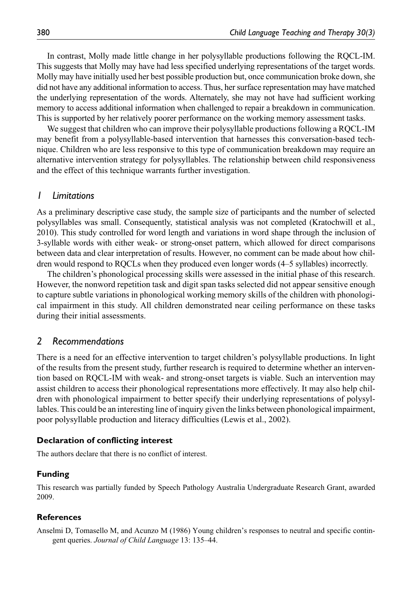In contrast, Molly made little change in her polysyllable productions following the RQCL-IM. This suggests that Molly may have had less specified underlying representations of the target words. Molly may have initially used her best possible production but, once communication broke down, she did not have any additional information to access. Thus, her surface representation may have matched the underlying representation of the words. Alternately, she may not have had sufficient working memory to access additional information when challenged to repair a breakdown in communication. This is supported by her relatively poorer performance on the working memory assessment tasks.

We suggest that children who can improve their polysyllable productions following a RQCL-IM may benefit from a polysyllable-based intervention that harnesses this conversation-based technique. Children who are less responsive to this type of communication breakdown may require an alternative intervention strategy for polysyllables. The relationship between child responsiveness and the effect of this technique warrants further investigation.

#### *1 Limitations*

As a preliminary descriptive case study, the sample size of participants and the number of selected polysyllables was small. Consequently, statistical analysis was not completed (Kratochwill et al., 2010). This study controlled for word length and variations in word shape through the inclusion of 3-syllable words with either weak- or strong-onset pattern, which allowed for direct comparisons between data and clear interpretation of results. However, no comment can be made about how children would respond to RQCLs when they produced even longer words (4–5 syllables) incorrectly.

The children's phonological processing skills were assessed in the initial phase of this research. However, the nonword repetition task and digit span tasks selected did not appear sensitive enough to capture subtle variations in phonological working memory skills of the children with phonological impairment in this study. All children demonstrated near ceiling performance on these tasks during their initial assessments.

#### *2 Recommendations*

There is a need for an effective intervention to target children's polysyllable productions. In light of the results from the present study, further research is required to determine whether an intervention based on RQCL-IM with weak- and strong-onset targets is viable. Such an intervention may assist children to access their phonological representations more effectively. It may also help children with phonological impairment to better specify their underlying representations of polysyllables. This could be an interesting line of inquiry given the links between phonological impairment, poor polysyllable production and literacy difficulties (Lewis et al., 2002).

#### **Declaration of conflicting interest**

The authors declare that there is no conflict of interest.

#### **Funding**

This research was partially funded by Speech Pathology Australia Undergraduate Research Grant, awarded 2009.

#### **References**

Anselmi D, Tomasello M, and Acunzo M (1986) Young children's responses to neutral and specific contingent queries. *Journal of Child Language* 13: 135–44.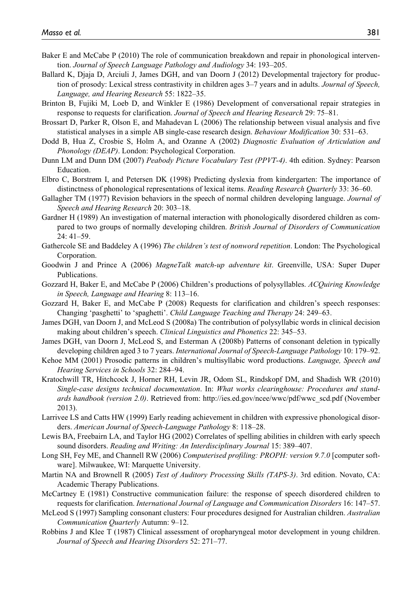- Baker E and McCabe P (2010) The role of communication breakdown and repair in phonological intervention. *Journal of Speech Language Pathology and Audiology* 34: 193–205.
- Ballard K, Djaja D, Arciuli J, James DGH, and van Doorn J (2012) Developmental trajectory for production of prosody: Lexical stress contrastivity in children ages 3–7 years and in adults. *Journal of Speech, Language, and Hearing Research* 55: 1822–35.
- Brinton B, Fujiki M, Loeb D, and Winkler E (1986) Development of conversational repair strategies in response to requests for clarification. *Journal of Speech and Hearing Research* 29: 75–81.
- Brossart D, Parker R, Olson E, and Mahadevan L (2006) The relationship between visual analysis and five statistical analyses in a simple AB single-case research design. *Behaviour Modification* 30: 531–63.
- Dodd B, Hua Z, Crosbie S, Holm A, and Ozanne A (2002) *Diagnostic Evaluation of Articulation and Phonology (DEAP)*. London: Psychological Corporation.
- Dunn LM and Dunn DM (2007) *Peabody Picture Vocabulary Test (PPVT-4)*. 4th edition. Sydney: Pearson Education.
- Elbro C, Borstrøm I, and Petersen DK (1998) Predicting dyslexia from kindergarten: The importance of distinctness of phonological representations of lexical items. *Reading Research Quarterly* 33: 36–60.
- Gallagher TM (1977) Revision behaviors in the speech of normal children developing language. *Journal of Speech and Hearing Research* 20: 303–18.
- Gardner H (1989) An investigation of maternal interaction with phonologically disordered children as compared to two groups of normally developing children. *British Journal of Disorders of Communication* 24: 41–59.
- Gathercole SE and Baddeley A (1996) *The children's test of nonword repetition*. London: The Psychological Corporation.
- Goodwin J and Prince A (2006) *MagneTalk match-up adventure kit*. Greenville, USA: Super Duper Publications.
- Gozzard H, Baker E, and McCabe P (2006) Children's productions of polysyllables. *ACQuiring Knowledge in Speech, Language and Hearing* 8: 113–16.
- Gozzard H, Baker E, and McCabe P (2008) Requests for clarification and children's speech responses: Changing 'pasghetti' to 'spaghetti'. *Child Language Teaching and Therapy* 24: 249–63.
- James DGH, van Doorn J, and McLeod S (2008a) The contribution of polysyllabic words in clinical decision making about children's speech. *Clinical Linguistics and Phonetics* 22: 345–53.
- James DGH, van Doorn J, McLeod S, and Esterman A (2008b) Patterns of consonant deletion in typically developing children aged 3 to 7 years. *International Journal of Speech-Language Pathology* 10: 179–92.
- Kehoe MM (2001) Prosodic patterns in children's multisyllabic word productions. *Language, Speech and Hearing Services in Schools* 32: 284–94.
- Kratochwill TR, Hitchcock J, Horner RH, Levin JR, Odom SL, Rindskopf DM, and Shadish WR (2010) *Single-case designs technical documentation*. In: *What works clearinghouse: Procedures and standards handbook (version 2.0)*. Retrieved from: http://ies.ed.gov/ncee/wwc/pdf/wwc\_scd.pdf (November 2013).
- Larrivee LS and Catts HW (1999) Early reading achievement in children with expressive phonological disorders. *American Journal of Speech-Language Pathology* 8: 118–28.
- Lewis BA, Freebairn LA, and Taylor HG (2002) Correlates of spelling abilities in children with early speech sound disorders. *Reading and Writing: An Interdisciplinary Journal* 15: 389–407.
- Long SH, Fey ME, and Channell RW (2006) *Computerised profiling: PROPH: version 9.7.0* [computer software]. Milwaukee, WI: Marquette University.
- Martin NA and Brownell R (2005) *Test of Auditory Processing Skills (TAPS-3)*. 3rd edition. Novato, CA: Academic Therapy Publications.
- McCartney E (1981) Constructive communication failure: the response of speech disordered children to requests for clarification. *International Journal of Language and Communication Disorders* 16: 147–57.
- McLeod S (1997) Sampling consonant clusters: Four procedures designed for Australian children. *Australian Communication Quarterly* Autumn: 9–12.
- Robbins J and Klee T (1987) Clinical assessment of oropharyngeal motor development in young children. *Journal of Speech and Hearing Disorders* 52: 271–77.